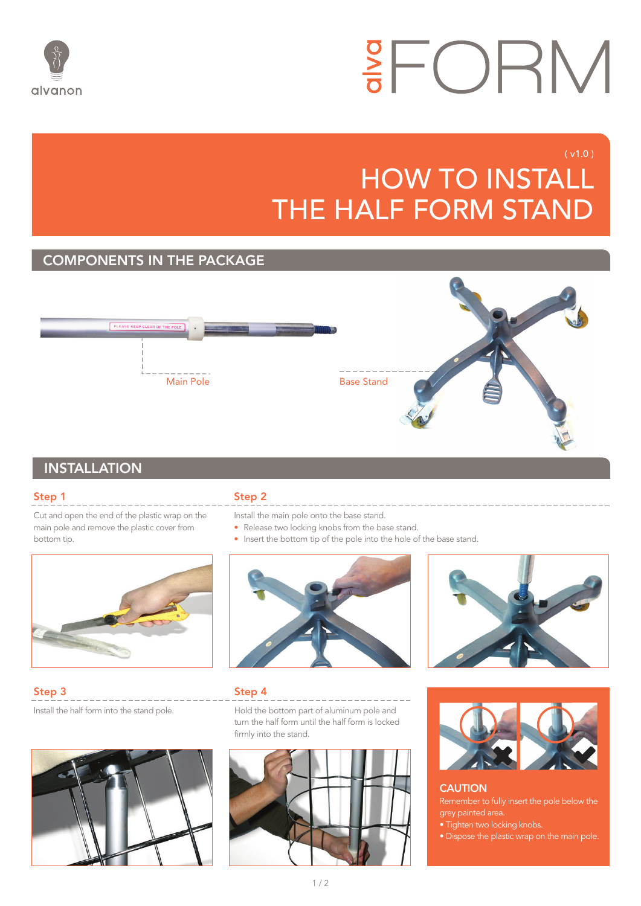

# **SFORM**

### HOW TO INSTALL THE HALF FORM STAND

#### COMPONENTS IN THE PACKAGE



### **INSTALLATION**

#### Step 1

bottom tip.

#### Step 2

Cut and open the end of the plastic wrap on the main pole and remove the plastic cover from Install the main pole onto the base stand.

- Release two locking knobs from the base stand.
- Insert the bottom tip of the pole into the hole of the base stand.



Step 3 Install the half form into the stand pole.





#### Step 4

Hold the bottom part of aluminum pole and turn the half form until the half form is locked firmly into the stand.







#### **CAUTION**

grey painted area.

- Tighten two locking knobs.
-